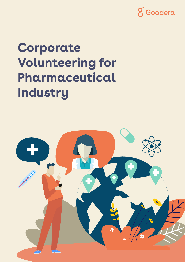

# **Corporate Volunteering for Pharmaceutical Industry**

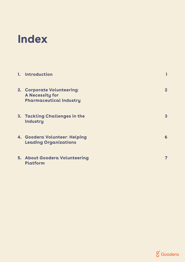### **Index**

| 1. Introduction                                                                 |              |
|---------------------------------------------------------------------------------|--------------|
| 2. Corporate Volunteering:<br>A Necessity for<br><b>Pharmaceutical Industry</b> | $\mathbf{2}$ |
| 3. Tackling Challenges in the<br>Industry                                       | $\mathbf{3}$ |
| 4. Goodera Volunteer: Helping<br><b>Leading Organizations</b>                   | 6            |
| <b>5. About Goodera Volunteering</b><br>Platform                                |              |

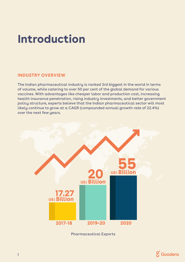### **Introduction**

#### **INDUSTRY OVERVIEW**

The Indian pharmaceutical industry is ranked 3rd biggest in the world in terms of volume, while catering to over 50 per cent of the global demand for various vaccines. With advantages like cheaper labor and production cost, increasing health insurance penetration, rising industry investments, and better government policy structure, experts believe that the Indian pharmaceutical sector will most likely continue to grow at a CAGR (compounded annual growth rate of 22.4%) over the next few years.



Pharmaceutical Exports

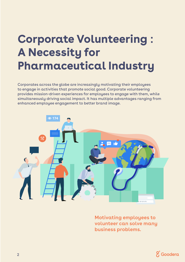## **Corporate Volunteering : A Necessity for Pharmaceutical Industry**

Corporates across the globe are increasingly motivating their employees to engage in activities that promote social good. Corporate volunteering provides mission-driven experiences for employees to engage with them, while simultaneously driving social impact. It has multiple advantages ranging from enhanced employee engagement to better brand image.



**Motivating employees to volunteer can solve many business problems.**

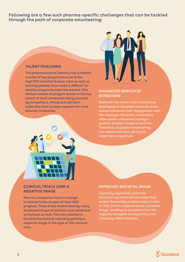**Following are a few such pharma-specific challenges that can be tackled through the path of corporate volunteering**:

#### **TALENT POACHING**

**The pharmaceutical industry has a limited number of top players because of the high R**&**D and distribution costs as well as existing patents that make it difficult for smaller players to enter the market. This limited number of players results in the top talent of most companies being poached by competitors. Hiring and attrition costs thus form a major expense for most pharma companies.**



#### **ENHANCED EMPLOYEE RETENTION**

**Research has shown that motivating employees to volunteer towards social causes enhances their engagement with the employer. Moreover, millennials often prefer companies having a positive societal image to work for. Therefore, corporate volunteering can reduce attrition, giving an edge over competitors.**



#### **CLINICAL TRIALS LEND A NEGATIVE IMAGE**

**Pharma companies have to indulge in clinical trials as part of their R**&**D program. These trials involve testing newly developed drugs on animals and sometimes on humans as well. This has resulted in the pharmaceutical indusatry getting a negative image in the eyes of the common man.** 

#### **IMPROVED SOCIETAL IMAGE**

**Carefully organized corporate volunteering events drive impact that makes the society a better place to live in. This, in turn, helps promote a positive image**; **working as a cushion from the negative thoughts coming in from the company**'**s R**&**D activities.**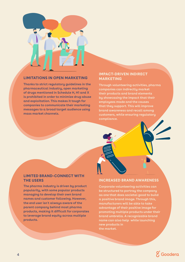

#### **LIMITATIONS IN OPEN MARKETING**

**Thanks to strict regulatory guidelines in the pharmaceutical industry, open marketing of drugs mentioned in Schedule H, H1 and X is prohibited in order to minimize drug abuse and exploitation. This makes it tough for companies to communicate their marketing messages to a broad target audience using mass market channels.**

#### **IMPACT-DRIVEN INDIRECT MARKETING**

**Through volunteering activities, pharma companies can indirectly market their products and brand elements by showcasing the impact that their employees made and the causes that they support. This will improve brand awareness and recall among customers, while ensuring regulatory compliance.** 

#### **LIMITED BRAND-CONNECT WITH THE USERS**

**The pharma industry is driven by product popularity, with some popular products managing to develop their own brand names and customer following. However, the end user isn**'**t always aware of the parent company behind most pharma products, making it difficult for corporates to leverage brand equity across multiple products.**

#### **INCREASED BRAND AWARENESS**

**Corporate volunteering activities can be structured to portray the company as one that does societal good to build a positive brand image. Through this, manufacturers will be able to take advantage of their positive image for promoting multiple products under their brand umbrella. A recognizable brand name can also help while launching new products in the market.**

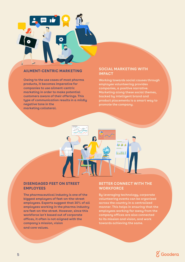

#### **AILMENT-CENTRIC MARKETING**

**Owing to the use cases of most pharma products, it becomes imperative for companies to use ailment-centric marketing in order to make potential customers aware of their offerings. This type of communication results in a mildly negative tone in the marketing collateral.**

#### **SOCIAL MARKETING WITH IMPACT**

**Working towards social causes through employee volunteering provides companies, a positive narrative. Marketing along these social themes, backed by intelligent brand and product placements is a smart way to promote the company.**



#### **DISENGAGED FEET ON STREET EMPLOYEES**

**The pharmaceutical industry is one of the biggest employers of feet-on-the-street employees. Experts suggest that 30**% **of all employees working in the pharma industry are feet-on-the-street. However, since this workforce isn**'**t based out of corporate offices, it often is not aligned with the company**'**s mission, vision and core values.**

#### **BETTER CONNECT WITH THE WORKFORCE**

**By leveraging technology, corporate volunteering events can be organized across the country in a centralized manner. This helps in ensuring that the employees working far away from the company offices are also connected to its mission and vision, and work towards achieving the same.**

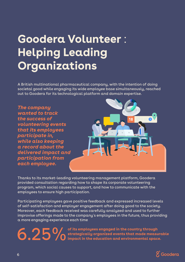## **Goodera Volunteer** : **Helping Leading Organizations**

A British multinational pharmaceutical company, with the intention of doing societal good while engaging its wide employee base simultaneously, reached out to Goodera for its technological platform and domain expertise.



Thanks to its market-leading volunteering management platform, Goodera provided consultation regarding how to shape its corporate volunteering program, which social causes to support, and how to communicate with the employees to ensure high participation.

Participating employees gave positive feedback and expressed increased levels of self-satisfaction and employer engagement after doing good to the society. Moreover, each feedback received was carefully analyzed and used to further improvise offerings made to the company's employees in the future, thus providing a more engaging experience each time

> **of its employees engaged in the country through strategically organized events that made measurable impact in the education and environmental space.**